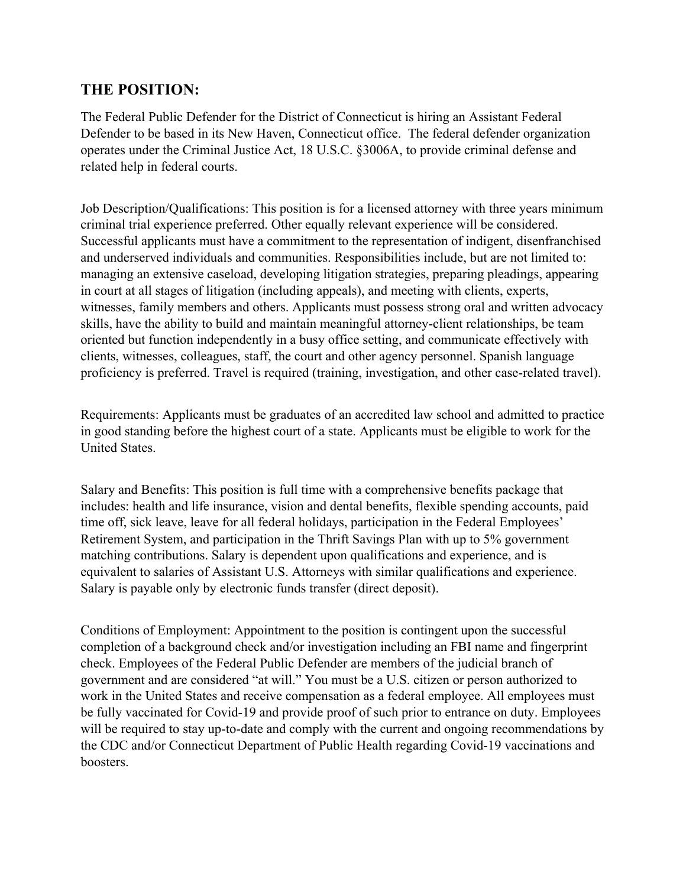# **THE POSITION:**

The Federal Public Defender for the District of Connecticut is hiring an Assistant Federal Defender to be based in its New Haven, Connecticut office. The federal defender organization operates under the Criminal Justice Act, 18 U.S.C. §3006A, to provide criminal defense and related help in federal courts.

Job Description/Qualifications: This position is for a licensed attorney with three years minimum criminal trial experience preferred. Other equally relevant experience will be considered. Successful applicants must have a commitment to the representation of indigent, disenfranchised and underserved individuals and communities. Responsibilities include, but are not limited to: managing an extensive caseload, developing litigation strategies, preparing pleadings, appearing in court at all stages of litigation (including appeals), and meeting with clients, experts, witnesses, family members and others. Applicants must possess strong oral and written advocacy skills, have the ability to build and maintain meaningful attorney-client relationships, be team oriented but function independently in a busy office setting, and communicate effectively with clients, witnesses, colleagues, staff, the court and other agency personnel. Spanish language proficiency is preferred. Travel is required (training, investigation, and other case-related travel).

Requirements: Applicants must be graduates of an accredited law school and admitted to practice in good standing before the highest court of a state. Applicants must be eligible to work for the United States.

Salary and Benefits: This position is full time with a comprehensive benefits package that includes: health and life insurance, vision and dental benefits, flexible spending accounts, paid time off, sick leave, leave for all federal holidays, participation in the Federal Employees' Retirement System, and participation in the Thrift Savings Plan with up to 5% government matching contributions. Salary is dependent upon qualifications and experience, and is equivalent to salaries of Assistant U.S. Attorneys with similar qualifications and experience. Salary is payable only by electronic funds transfer (direct deposit).

Conditions of Employment: Appointment to the position is contingent upon the successful completion of a background check and/or investigation including an FBI name and fingerprint check. Employees of the Federal Public Defender are members of the judicial branch of government and are considered "at will." You must be a U.S. citizen or person authorized to work in the United States and receive compensation as a federal employee. All employees must be fully vaccinated for Covid-19 and provide proof of such prior to entrance on duty. Employees will be required to stay up-to-date and comply with the current and ongoing recommendations by the CDC and/or Connecticut Department of Public Health regarding Covid-19 vaccinations and boosters.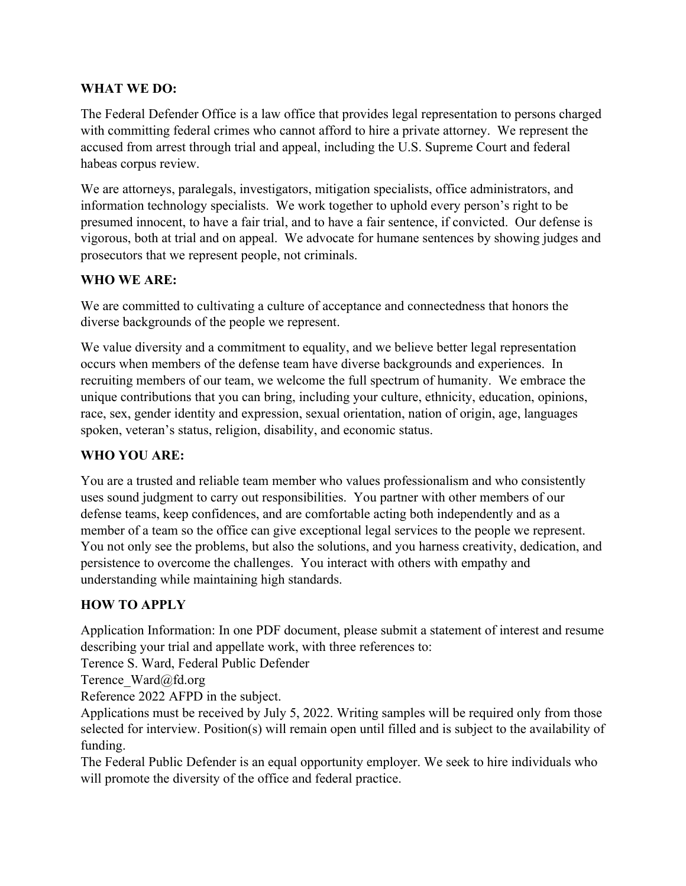#### **WHAT WE DO:**

The Federal Defender Office is a law office that provides legal representation to persons charged with committing federal crimes who cannot afford to hire a private attorney. We represent the accused from arrest through trial and appeal, including the U.S. Supreme Court and federal habeas corpus review.

We are attorneys, paralegals, investigators, mitigation specialists, office administrators, and information technology specialists. We work together to uphold every person's right to be presumed innocent, to have a fair trial, and to have a fair sentence, if convicted. Our defense is vigorous, both at trial and on appeal. We advocate for humane sentences by showing judges and prosecutors that we represent people, not criminals.

### **WHO WE ARE:**

We are committed to cultivating a culture of acceptance and connectedness that honors the diverse backgrounds of the people we represent.

We value diversity and a commitment to equality, and we believe better legal representation occurs when members of the defense team have diverse backgrounds and experiences. In recruiting members of our team, we welcome the full spectrum of humanity. We embrace the unique contributions that you can bring, including your culture, ethnicity, education, opinions, race, sex, gender identity and expression, sexual orientation, nation of origin, age, languages spoken, veteran's status, religion, disability, and economic status.

## **WHO YOU ARE:**

You are a trusted and reliable team member who values professionalism and who consistently uses sound judgment to carry out responsibilities. You partner with other members of our defense teams, keep confidences, and are comfortable acting both independently and as a member of a team so the office can give exceptional legal services to the people we represent. You not only see the problems, but also the solutions, and you harness creativity, dedication, and persistence to overcome the challenges. You interact with others with empathy and understanding while maintaining high standards.

## **HOW TO APPLY**

Application Information: In one PDF document, please submit a statement of interest and resume describing your trial and appellate work, with three references to:

Terence S. Ward, Federal Public Defender

Terence Ward@fd.org

Reference 2022 AFPD in the subject.

Applications must be received by July 5, 2022. Writing samples will be required only from those selected for interview. Position(s) will remain open until filled and is subject to the availability of funding.

The Federal Public Defender is an equal opportunity employer. We seek to hire individuals who will promote the diversity of the office and federal practice.